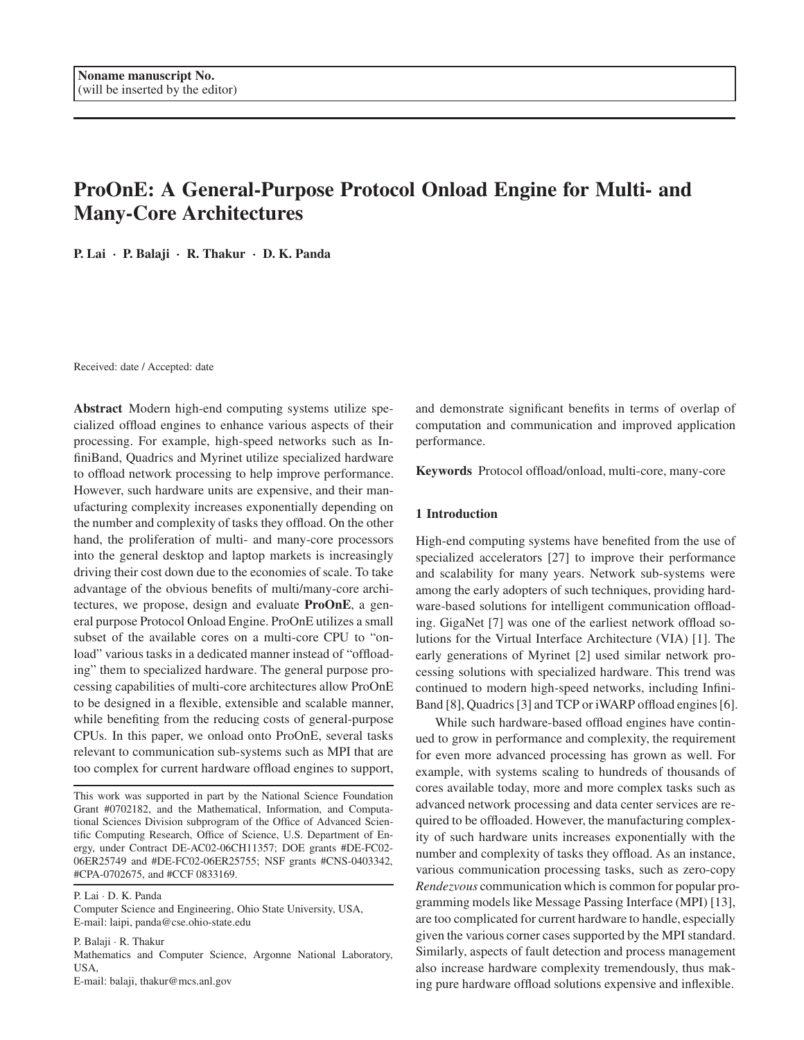# **ProOnE: A General-Purpose Protocol Onload Engine for Multi- and Many-Core Architectures**

**P. Lai** · **P. Balaji** · **R. Thakur** · **D. K. Panda**

Received: date / Accepted: date

**Abstract** Modern high-end computing systems utilize specialized offload engines to enhance various aspects of their processing. For example, high-speed networks such as InfiniBand, Quadrics and Myrinet utilize specialized hardware to offload network processing to help improve performance. However, such hardware units are expensive, and their manufacturing complexity increases exponentially depending on the number and complexity of tasks they offload. On the other hand, the proliferation of multi- and many-core processors into the general desktop and laptop markets is increasingly driving their cost down due to the economies of scale. To take advantage of the obvious benefits of multi/many-core architectures, we propose, design and evaluate **ProOnE**, a general purpose Protocol Onload Engine. ProOnE utilizes a small subset of the available cores on a multi-core CPU to "onload" various tasks in a dedicated manner instead of "offloading" them to specialized hardware. The general purpose processing capabilities of multi-core architectures allow ProOnE to be designed in a flexible, extensible and scalable manner, while benefiting from the reducing costs of general-purpose CPUs. In this paper, we onload onto ProOnE, several tasks relevant to communication sub-systems such as MPI that are too complex for current hardware offload engines to support,

This work was supported in part by the National Science Foundation Grant #0702182, and the Mathematical, Information, and Computational Sciences Division subprogram of the Office of Advanced Scientific Computing Research, Office of Science, U.S. Department of Energy, under Contract DE-AC02-06CH11357; DOE grants #DE-FC02- 06ER25749 and #DE-FC02-06ER25755; NSF grants #CNS-0403342, #CPA-0702675, and #CCF 0833169.

P. Lai · D. K. Panda Computer Science and Engineering, Ohio State University, USA, E-mail: laipi, panda@cse.ohio-state.edu

P. Balaji · R. Thakur Mathematics and Computer Science, Argonne National Laboratory, USA,

E-mail: balaji, thakur@mcs.anl.gov

and demonstrate significant benefits in terms of overlap of computation and communication and improved application performance.

**Keywords** Protocol offload/onload, multi-core, many-core

# **1 Introduction**

High-end computing systems have benefited from the use of specialized accelerators [27] to improve their performance and scalability for many years. Network sub-systems were among the early adopters of such techniques, providing hardware-based solutions for intelligent communication offloading. GigaNet [7] was one of the earliest network offload solutions for the Virtual Interface Architecture (VIA) [1]. The early generations of Myrinet [2] used similar network processing solutions with specialized hardware. This trend was continued to modern high-speed networks, including Infini-Band [8], Quadrics [3] and TCP or iWARP offload engines [6].

While such hardware-based offload engines have continued to grow in performance and complexity, the requirement for even more advanced processing has grown as well. For example, with systems scaling to hundreds of thousands of cores available today, more and more complex tasks such as advanced network processing and data center services are required to be offloaded. However, the manufacturing complexity of such hardware units increases exponentially with the number and complexity of tasks they offload. As an instance, various communication processing tasks, such as zero-copy *Rendezvous* communication which is common for popular programming models like Message Passing Interface (MPI) [13], are too complicated for current hardware to handle, especially given the various corner cases supported by the MPI standard. Similarly, aspects of fault detection and process management also increase hardware complexity tremendously, thus making pure hardware offload solutions expensive and inflexible.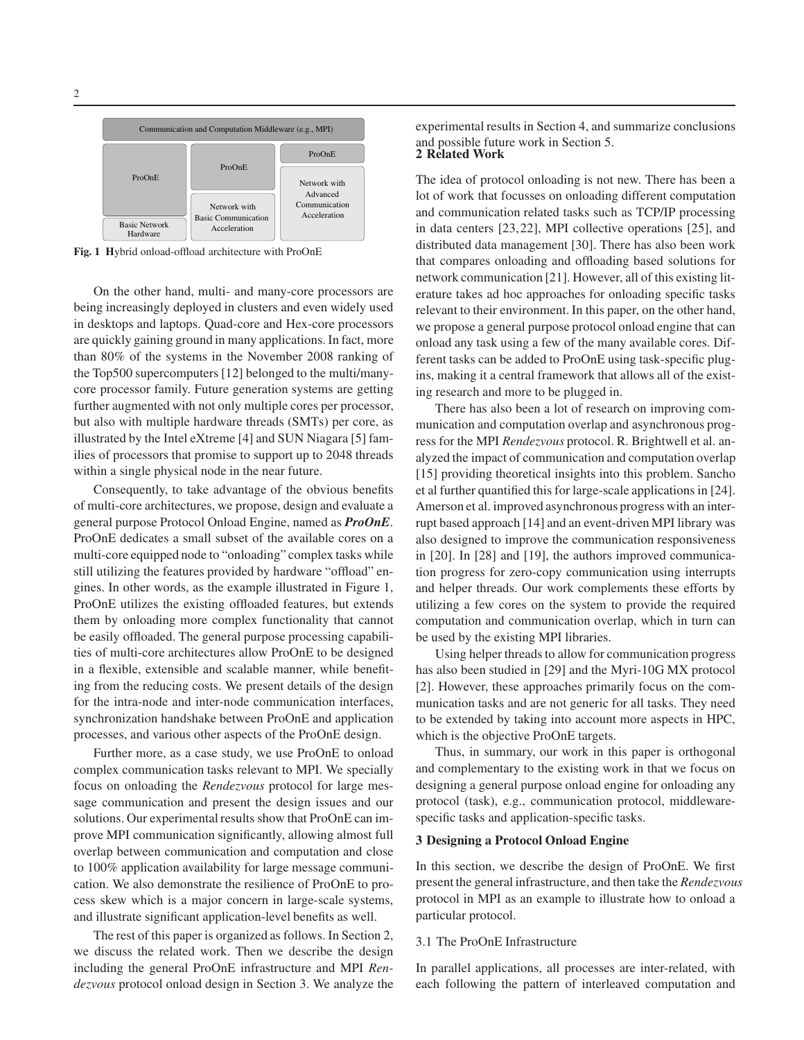

**Fig. 1 H**ybrid onload-offload architecture with ProOnE

On the other hand, multi- and many-core processors are being increasingly deployed in clusters and even widely used in desktops and laptops. Quad-core and Hex-core processors are quickly gaining ground in many applications. In fact, more than 80% of the systems in the November 2008 ranking of the Top500 supercomputers [12] belonged to the multi/manycore processor family. Future generation systems are getting further augmented with not only multiple cores per processor, but also with multiple hardware threads (SMTs) per core, as illustrated by the Intel eXtreme [4] and SUN Niagara [5] families of processors that promise to support up to 2048 threads within a single physical node in the near future.

Consequently, to take advantage of the obvious benefits of multi-core architectures, we propose, design and evaluate a general purpose Protocol Onload Engine, named as *ProOnE*. ProOnE dedicates a small subset of the available cores on a multi-core equipped node to "onloading" complex tasks while still utilizing the features provided by hardware "offload" engines. In other words, as the example illustrated in Figure 1, ProOnE utilizes the existing offloaded features, but extends them by onloading more complex functionality that cannot be easily offloaded. The general purpose processing capabilities of multi-core architectures allow ProOnE to be designed in a flexible, extensible and scalable manner, while benefiting from the reducing costs. We present details of the design for the intra-node and inter-node communication interfaces, synchronization handshake between ProOnE and application processes, and various other aspects of the ProOnE design.

Further more, as a case study, we use ProOnE to onload complex communication tasks relevant to MPI. We specially focus on onloading the *Rendezvous* protocol for large message communication and present the design issues and our solutions. Our experimental results show that ProOnE can improve MPI communication significantly, allowing almost full overlap between communication and computation and close to 100% application availability for large message communication. We also demonstrate the resilience of ProOnE to process skew which is a major concern in large-scale systems, and illustrate significant application-level benefits as well.

The rest of this paper is organized as follows. In Section 2, we discuss the related work. Then we describe the design including the general ProOnE infrastructure and MPI *Rendezvous* protocol onload design in Section 3. We analyze the experimental results in Section 4, and summarize conclusions and possible future work in Section 5. **2 Related Work**

The idea of protocol onloading is not new. There has been a lot of work that focusses on onloading different computation and communication related tasks such as TCP/IP processing in data centers [23,22], MPI collective operations [25], and distributed data management [30]. There has also been work that compares onloading and offloading based solutions for network communication [21]. However, all of this existing literature takes ad hoc approaches for onloading specific tasks relevant to their environment. In this paper, on the other hand, we propose a general purpose protocol onload engine that can onload any task using a few of the many available cores. Different tasks can be added to ProOnE using task-specific plugins, making it a central framework that allows all of the existing research and more to be plugged in.

There has also been a lot of research on improving communication and computation overlap and asynchronous progress for the MPI *Rendezvous* protocol. R. Brightwell et al. analyzed the impact of communication and computation overlap [15] providing theoretical insights into this problem. Sancho et al further quantified this for large-scale applications in [24]. Amerson et al. improved asynchronous progress with an interrupt based approach [14] and an event-driven MPI library was also designed to improve the communication responsiveness in [20]. In [28] and [19], the authors improved communication progress for zero-copy communication using interrupts and helper threads. Our work complements these efforts by utilizing a few cores on the system to provide the required computation and communication overlap, which in turn can be used by the existing MPI libraries.

Using helper threads to allow for communication progress has also been studied in [29] and the Myri-10G MX protocol [2]. However, these approaches primarily focus on the communication tasks and are not generic for all tasks. They need to be extended by taking into account more aspects in HPC, which is the objective ProOnE targets.

Thus, in summary, our work in this paper is orthogonal and complementary to the existing work in that we focus on designing a general purpose onload engine for onloading any protocol (task), e.g., communication protocol, middlewarespecific tasks and application-specific tasks.

#### **3 Designing a Protocol Onload Engine**

In this section, we describe the design of ProOnE. We first present the general infrastructure, and then take the *Rendezvous* protocol in MPI as an example to illustrate how to onload a particular protocol.

### 3.1 The ProOnE Infrastructure

In parallel applications, all processes are inter-related, with each following the pattern of interleaved computation and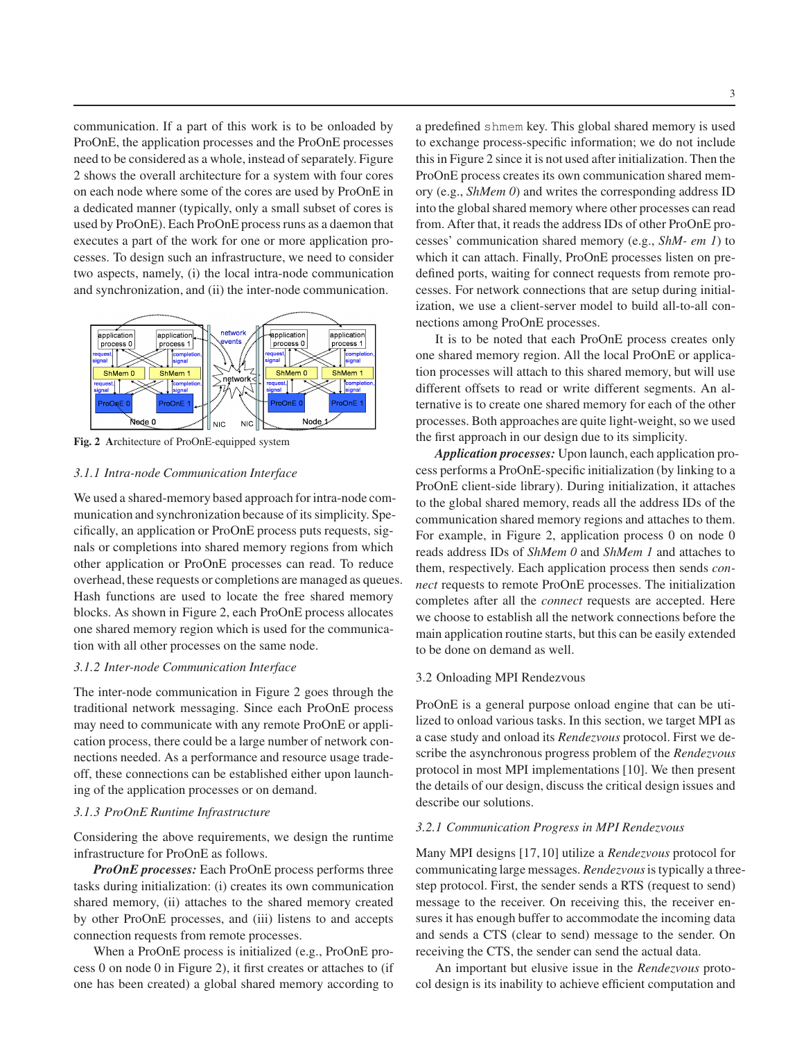communication. If a part of this work is to be onloaded by ProOnE, the application processes and the ProOnE processes need to be considered as a whole, instead of separately. Figure 2 shows the overall architecture for a system with four cores on each node where some of the cores are used by ProOnE in a dedicated manner (typically, only a small subset of cores is used by ProOnE). Each ProOnE process runs as a daemon that executes a part of the work for one or more application processes. To design such an infrastructure, we need to consider two aspects, namely, (i) the local intra-node communication and synchronization, and (ii) the inter-node communication.



**Fig. 2 A**rchitecture of ProOnE-equipped system

# *3.1.1 Intra-node Communication Interface*

We used a shared-memory based approach for intra-node communication and synchronization because of its simplicity. Specifically, an application or ProOnE process puts requests, signals or completions into shared memory regions from which other application or ProOnE processes can read. To reduce overhead, these requests or completions are managed as queues. Hash functions are used to locate the free shared memory blocks. As shown in Figure 2, each ProOnE process allocates one shared memory region which is used for the communication with all other processes on the same node.

#### *3.1.2 Inter-node Communication Interface*

The inter-node communication in Figure 2 goes through the traditional network messaging. Since each ProOnE process may need to communicate with any remote ProOnE or application process, there could be a large number of network connections needed. As a performance and resource usage tradeoff, these connections can be established either upon launching of the application processes or on demand.

# *3.1.3 ProOnE Runtime Infrastructure*

Considering the above requirements, we design the runtime infrastructure for ProOnE as follows.

*ProOnE processes:* Each ProOnE process performs three tasks during initialization: (i) creates its own communication shared memory, (ii) attaches to the shared memory created by other ProOnE processes, and (iii) listens to and accepts connection requests from remote processes.

When a ProOnE process is initialized (e.g., ProOnE process 0 on node 0 in Figure 2), it first creates or attaches to (if one has been created) a global shared memory according to a predefined shmem key. This global shared memory is used to exchange process-specific information; we do not include this in Figure 2 since it is not used after initialization. Then the ProOnE process creates its own communication shared memory (e.g., *ShMem 0*) and writes the corresponding address ID into the global shared memory where other processes can read from. After that, it reads the address IDs of other ProOnE processes' communication shared memory (e.g., *ShM- em 1*) to which it can attach. Finally, ProOnE processes listen on predefined ports, waiting for connect requests from remote processes. For network connections that are setup during initialization, we use a client-server model to build all-to-all connections among ProOnE processes.

It is to be noted that each ProOnE process creates only one shared memory region. All the local ProOnE or application processes will attach to this shared memory, but will use different offsets to read or write different segments. An alternative is to create one shared memory for each of the other processes. Both approaches are quite light-weight, so we used the first approach in our design due to its simplicity.

*Application processes:* Upon launch, each application process performs a ProOnE-specific initialization (by linking to a ProOnE client-side library). During initialization, it attaches to the global shared memory, reads all the address IDs of the communication shared memory regions and attaches to them. For example, in Figure 2, application process 0 on node 0 reads address IDs of *ShMem 0* and *ShMem 1* and attaches to them, respectively. Each application process then sends *connect* requests to remote ProOnE processes. The initialization completes after all the *connect* requests are accepted. Here we choose to establish all the network connections before the main application routine starts, but this can be easily extended to be done on demand as well.

#### 3.2 Onloading MPI Rendezvous

ProOnE is a general purpose onload engine that can be utilized to onload various tasks. In this section, we target MPI as a case study and onload its *Rendezvous* protocol. First we describe the asynchronous progress problem of the *Rendezvous* protocol in most MPI implementations [10]. We then present the details of our design, discuss the critical design issues and describe our solutions.

#### *3.2.1 Communication Progress in MPI Rendezvous*

Many MPI designs [17,10] utilize a *Rendezvous* protocol for communicating large messages. *Rendezvous*is typically a threestep protocol. First, the sender sends a RTS (request to send) message to the receiver. On receiving this, the receiver ensures it has enough buffer to accommodate the incoming data and sends a CTS (clear to send) message to the sender. On receiving the CTS, the sender can send the actual data.

An important but elusive issue in the *Rendezvous* protocol design is its inability to achieve efficient computation and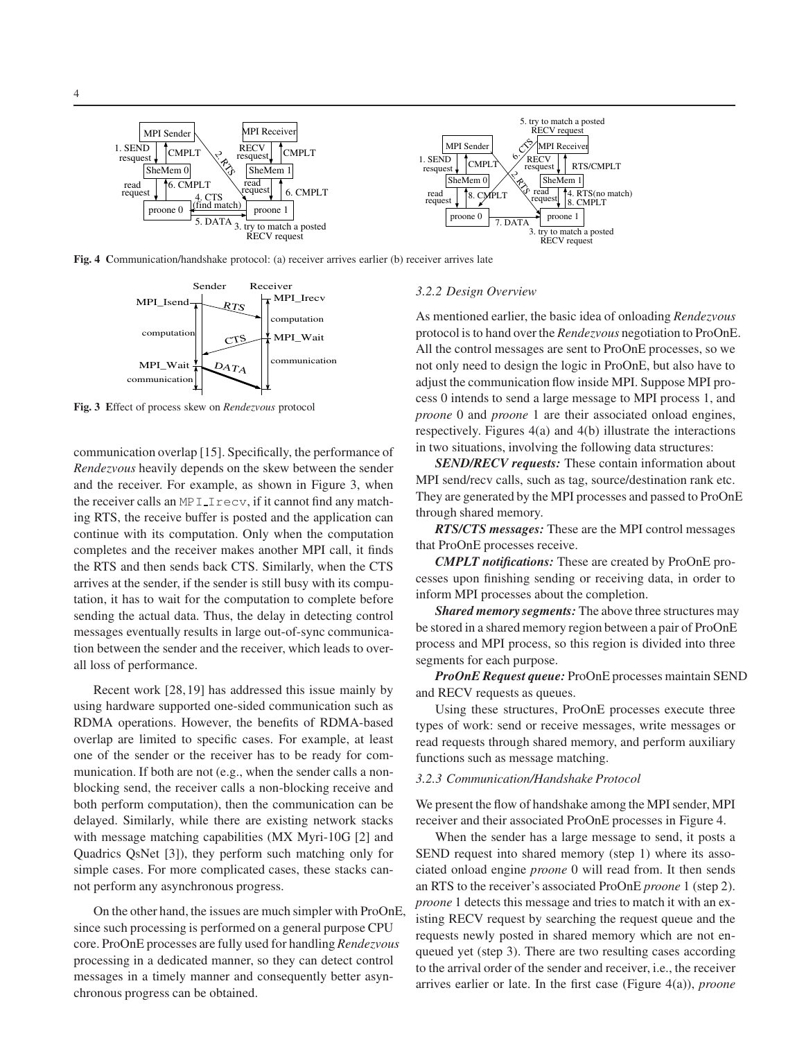

**Fig. 4 C**ommunication/handshake protocol: (a) receiver arrives earlier (b) receiver arrives late



**Fig. 3 E**ffect of process skew on *Rendezvous* protocol

communication overlap [15]. Specifically, the performance of *Rendezvous* heavily depends on the skew between the sender and the receiver. For example, as shown in Figure 3, when the receiver calls an MPI I  $r$ ecv, if it cannot find any matching RTS, the receive buffer is posted and the application can continue with its computation. Only when the computation completes and the receiver makes another MPI call, it finds the RTS and then sends back CTS. Similarly, when the CTS arrives at the sender, if the sender is still busy with its computation, it has to wait for the computation to complete before sending the actual data. Thus, the delay in detecting control messages eventually results in large out-of-sync communication between the sender and the receiver, which leads to overall loss of performance.

Recent work [28,19] has addressed this issue mainly by using hardware supported one-sided communication such as RDMA operations. However, the benefits of RDMA-based overlap are limited to specific cases. For example, at least one of the sender or the receiver has to be ready for communication. If both are not (e.g., when the sender calls a nonblocking send, the receiver calls a non-blocking receive and both perform computation), then the communication can be delayed. Similarly, while there are existing network stacks with message matching capabilities (MX Myri-10G [2] and Quadrics QsNet [3]), they perform such matching only for simple cases. For more complicated cases, these stacks cannot perform any asynchronous progress.

On the other hand, the issues are much simpler with ProOnE, since such processing is performed on a general purpose CPU core. ProOnE processes are fully used for handling *Rendezvous* processing in a dedicated manner, so they can detect control messages in a timely manner and consequently better asynchronous progress can be obtained.

## *3.2.2 Design Overview*

As mentioned earlier, the basic idea of onloading *Rendezvous* protocol is to hand over the *Rendezvous* negotiation to ProOnE. All the control messages are sent to ProOnE processes, so we not only need to design the logic in ProOnE, but also have to adjust the communication flow inside MPI. Suppose MPI process 0 intends to send a large message to MPI process 1, and *proone* 0 and *proone* 1 are their associated onload engines, respectively. Figures 4(a) and 4(b) illustrate the interactions in two situations, involving the following data structures:

*SEND/RECV requests:* These contain information about MPI send/recv calls, such as tag, source/destination rank etc. They are generated by the MPI processes and passed to ProOnE through shared memory.

*RTS/CTS messages:* These are the MPI control messages that ProOnE processes receive.

*CMPLT notifications:* These are created by ProOnE processes upon finishing sending or receiving data, in order to inform MPI processes about the completion.

*Shared memory segments:* The above three structures may be stored in a shared memory region between a pair of ProOnE process and MPI process, so this region is divided into three segments for each purpose.

*ProOnE Request queue:* ProOnE processes maintain SEND and RECV requests as queues.

Using these structures, ProOnE processes execute three types of work: send or receive messages, write messages or read requests through shared memory, and perform auxiliary functions such as message matching.

# *3.2.3 Communication/Handshake Protocol*

We present the flow of handshake among the MPI sender, MPI receiver and their associated ProOnE processes in Figure 4.

When the sender has a large message to send, it posts a SEND request into shared memory (step 1) where its associated onload engine *proone* 0 will read from. It then sends an RTS to the receiver's associated ProOnE *proone* 1 (step 2). *proone* 1 detects this message and tries to match it with an existing RECV request by searching the request queue and the requests newly posted in shared memory which are not enqueued yet (step 3). There are two resulting cases according to the arrival order of the sender and receiver, i.e., the receiver arrives earlier or late. In the first case (Figure 4(a)), *proone*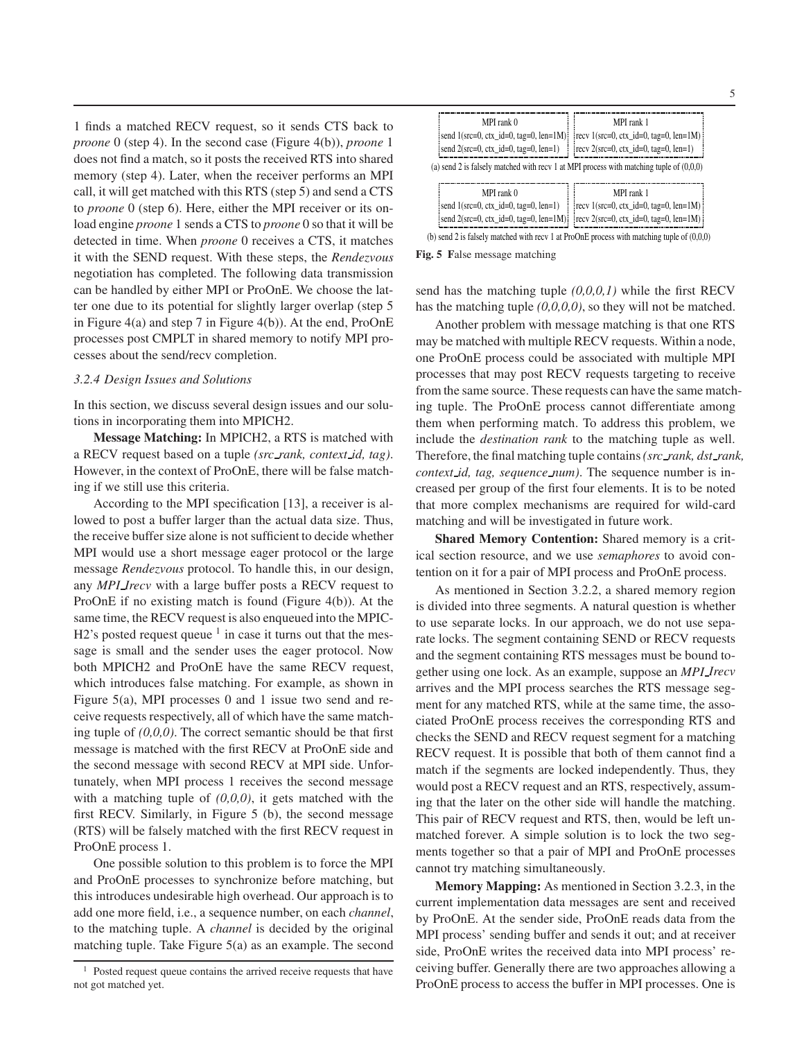1 finds a matched RECV request, so it sends CTS back to *proone* 0 (step 4). In the second case (Figure 4(b)), *proone* 1 does not find a match, so it posts the received RTS into shared memory (step 4). Later, when the receiver performs an MPI call, it will get matched with this RTS (step 5) and send a CTS to *proone* 0 (step 6). Here, either the MPI receiver or its onload engine *proone* 1 sends a CTS to *proone* 0 so that it will be detected in time. When *proone* 0 receives a CTS, it matches it with the SEND request. With these steps, the *Rendezvous* negotiation has completed. The following data transmission can be handled by either MPI or ProOnE. We choose the latter one due to its potential for slightly larger overlap (step 5 in Figure  $4(a)$  and step 7 in Figure  $4(b)$ ). At the end, ProOnE processes post CMPLT in shared memory to notify MPI processes about the send/recv completion.

#### *3.2.4 Design Issues and Solutions*

In this section, we discuss several design issues and our solutions in incorporating them into MPICH2.

**Message Matching:** In MPICH2, a RTS is matched with a RECV request based on a tuple *(src rank, context id, tag)*. However, in the context of ProOnE, there will be false matching if we still use this criteria.

According to the MPI specification [13], a receiver is allowed to post a buffer larger than the actual data size. Thus, the receive buffer size alone is not sufficient to decide whether MPI would use a short message eager protocol or the large message *Rendezvous* protocol. To handle this, in our design, any *MPI Irecv* with a large buffer posts a RECV request to ProOnE if no existing match is found (Figure 4(b)). At the same time, the RECV request is also enqueued into the MPIC- $H2$ 's posted request queue  $<sup>1</sup>$  in case it turns out that the mes-</sup> sage is small and the sender uses the eager protocol. Now both MPICH2 and ProOnE have the same RECV request, which introduces false matching. For example, as shown in Figure 5(a), MPI processes 0 and 1 issue two send and receive requests respectively, all of which have the same matching tuple of *(0,0,0)*. The correct semantic should be that first message is matched with the first RECV at ProOnE side and the second message with second RECV at MPI side. Unfortunately, when MPI process 1 receives the second message with a matching tuple of *(0,0,0)*, it gets matched with the first RECV. Similarly, in Figure 5 (b), the second message (RTS) will be falsely matched with the first RECV request in ProOnE process 1.

One possible solution to this problem is to force the MPI and ProOnE processes to synchronize before matching, but this introduces undesirable high overhead. Our approach is to add one more field, i.e., a sequence number, on each *channel*, to the matching tuple. A *channel* is decided by the original matching tuple. Take Figure 5(a) as an example. The second

| MPI rank 0                                                                              | MPI rank 1                                                                   |
|-----------------------------------------------------------------------------------------|------------------------------------------------------------------------------|
| send $1$ (src=0, ctx_id=0, tag=0, len=1M)                                               | recv $1$ (src=0, ctx_id=0, tag=0, len=1M)                                    |
| send $2$ (src=0, ctx_id=0, tag=0, len=1)                                                | $ recv 2(src=0, ctx_id=0, tag=0, len=1)$                                     |
| (a) send 2 is falsely matched with recv 1 at MPI process with matching tuple of (0,0,0) |                                                                              |
|                                                                                         |                                                                              |
|                                                                                         |                                                                              |
| MPI rank 0                                                                              | MPI rank 1                                                                   |
| send $1$ (src=0, ctx_id=0, tag=0, len=1)                                                | $ {\rm recv 1}({\rm src}=0,{\rm ctx\_id}=0,{\rm tag}=0,{\rm len}=1{\rm M}) $ |

(b) send 2 is falsely matched with recv 1 at ProOnE process with matching tuple of (0,0,0)

**Fig. 5 F**alse message matching

send has the matching tuple *(0,0,0,1)* while the first RECV has the matching tuple *(0,0,0,0)*, so they will not be matched.

Another problem with message matching is that one RTS may be matched with multiple RECV requests. Within a node, one ProOnE process could be associated with multiple MPI processes that may post RECV requests targeting to receive from the same source. These requests can have the same matching tuple. The ProOnE process cannot differentiate among them when performing match. To address this problem, we include the *destination rank* to the matching tuple as well. Therefore, the final matching tuple contains*(src rank, dst rank, context id, tag, sequence num)*. The sequence number is increased per group of the first four elements. It is to be noted that more complex mechanisms are required for wild-card matching and will be investigated in future work.

**Shared Memory Contention:** Shared memory is a critical section resource, and we use *semaphores* to avoid contention on it for a pair of MPI process and ProOnE process.

As mentioned in Section 3.2.2, a shared memory region is divided into three segments. A natural question is whether to use separate locks. In our approach, we do not use separate locks. The segment containing SEND or RECV requests and the segment containing RTS messages must be bound together using one lock. As an example, suppose an *MPI Irecv* arrives and the MPI process searches the RTS message segment for any matched RTS, while at the same time, the associated ProOnE process receives the corresponding RTS and checks the SEND and RECV request segment for a matching RECV request. It is possible that both of them cannot find a match if the segments are locked independently. Thus, they would post a RECV request and an RTS, respectively, assuming that the later on the other side will handle the matching. This pair of RECV request and RTS, then, would be left unmatched forever. A simple solution is to lock the two segments together so that a pair of MPI and ProOnE processes cannot try matching simultaneously.

**Memory Mapping:** As mentioned in Section 3.2.3, in the current implementation data messages are sent and received by ProOnE. At the sender side, ProOnE reads data from the MPI process' sending buffer and sends it out; and at receiver side, ProOnE writes the received data into MPI process' receiving buffer. Generally there are two approaches allowing a ProOnE process to access the buffer in MPI processes. One is

<sup>&</sup>lt;sup>1</sup> Posted request queue contains the arrived receive requests that have not got matched yet.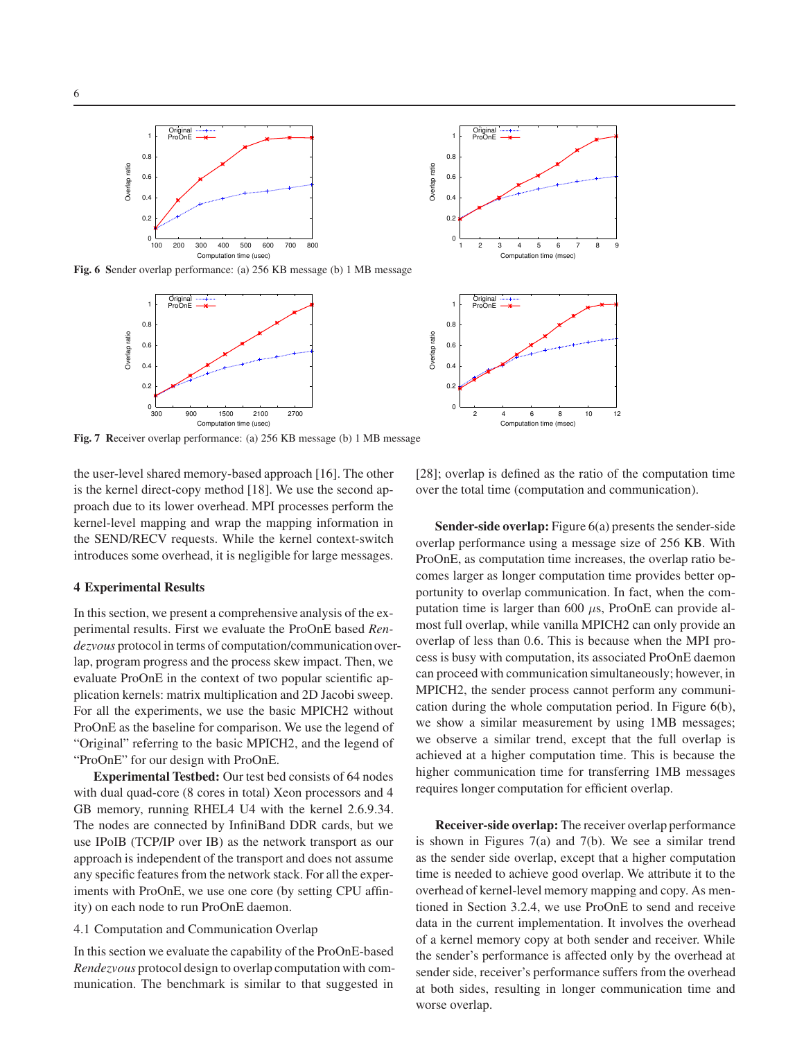

**Fig. 6 S**ender overlap performance: (a) 256 KB message (b) 1 MB message



 $\overline{0}$  $0.2$  $0.4$  0.6 0.8 1 Original ProOnE

Overlap ratio

**Fig. 7 R**eceiver overlap performance: (a) 256 KB message (b) 1 MB message

the user-level shared memory-based approach [16]. The other is the kernel direct-copy method [18]. We use the second approach due to its lower overhead. MPI processes perform the kernel-level mapping and wrap the mapping information in the SEND/RECV requests. While the kernel context-switch introduces some overhead, it is negligible for large messages.

#### **4 Experimental Results**

In this section, we present a comprehensive analysis of the experimental results. First we evaluate the ProOnE based *Rendezvous* protocol in terms of computation/communicationoverlap, program progress and the process skew impact. Then, we evaluate ProOnE in the context of two popular scientific application kernels: matrix multiplication and 2D Jacobi sweep. For all the experiments, we use the basic MPICH2 without ProOnE as the baseline for comparison. We use the legend of "Original" referring to the basic MPICH2, and the legend of "ProOnE" for our design with ProOnE.

**Experimental Testbed:** Our test bed consists of 64 nodes with dual quad-core (8 cores in total) Xeon processors and 4 GB memory, running RHEL4 U4 with the kernel 2.6.9.34. The nodes are connected by InfiniBand DDR cards, but we use IPoIB (TCP/IP over IB) as the network transport as our approach is independent of the transport and does not assume any specific features from the network stack. For all the experiments with ProOnE, we use one core (by setting CPU affinity) on each node to run ProOnE daemon.

4.1 Computation and Communication Overlap

In this section we evaluate the capability of the ProOnE-based *Rendezvous* protocol design to overlap computation with communication. The benchmark is similar to that suggested in

[28]; overlap is defined as the ratio of the computation time over the total time (computation and communication).

1 2 3 4 5 6 7 8 9

Computation time (msec)

**Sender-side overlap:** Figure 6(a) presents the sender-side overlap performance using a message size of 256 KB. With ProOnE, as computation time increases, the overlap ratio becomes larger as longer computation time provides better opportunity to overlap communication. In fact, when the computation time is larger than 600  $\mu$ s, ProOnE can provide almost full overlap, while vanilla MPICH2 can only provide an overlap of less than 0.6. This is because when the MPI process is busy with computation, its associated ProOnE daemon can proceed with communication simultaneously; however, in MPICH2, the sender process cannot perform any communication during the whole computation period. In Figure 6(b), we show a similar measurement by using 1MB messages; we observe a similar trend, except that the full overlap is achieved at a higher computation time. This is because the higher communication time for transferring 1MB messages requires longer computation for efficient overlap.

**Receiver-side overlap:** The receiver overlap performance is shown in Figures 7(a) and 7(b). We see a similar trend as the sender side overlap, except that a higher computation time is needed to achieve good overlap. We attribute it to the overhead of kernel-level memory mapping and copy. As mentioned in Section 3.2.4, we use ProOnE to send and receive data in the current implementation. It involves the overhead of a kernel memory copy at both sender and receiver. While the sender's performance is affected only by the overhead at sender side, receiver's performance suffers from the overhead at both sides, resulting in longer communication time and worse overlap.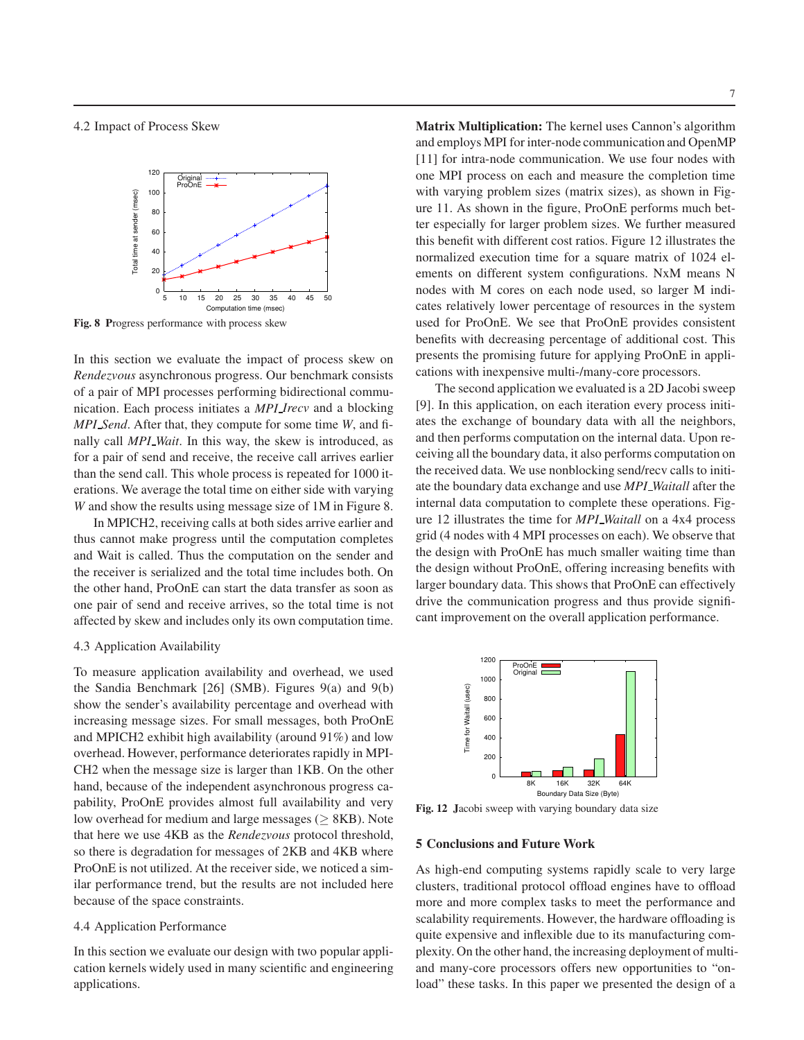4.2 Impact of Process Skew



**Fig. 8 P**rogress performance with process skew

In this section we evaluate the impact of process skew on *Rendezvous* asynchronous progress. Our benchmark consists of a pair of MPI processes performing bidirectional communication. Each process initiates a *MPI Irecv* and a blocking *MPI Send*. After that, they compute for some time *W*, and finally call *MPI Wait*. In this way, the skew is introduced, as for a pair of send and receive, the receive call arrives earlier than the send call. This whole process is repeated for 1000 iterations. We average the total time on either side with varying *W* and show the results using message size of 1M in Figure 8.

In MPICH2, receiving calls at both sides arrive earlier and thus cannot make progress until the computation completes and Wait is called. Thus the computation on the sender and the receiver is serialized and the total time includes both. On the other hand, ProOnE can start the data transfer as soon as one pair of send and receive arrives, so the total time is not affected by skew and includes only its own computation time.

#### 4.3 Application Availability

To measure application availability and overhead, we used the Sandia Benchmark [26] (SMB). Figures 9(a) and 9(b) show the sender's availability percentage and overhead with increasing message sizes. For small messages, both ProOnE and MPICH2 exhibit high availability (around 91%) and low overhead. However, performance deteriorates rapidly in MPI-CH2 when the message size is larger than 1KB. On the other hand, because of the independent asynchronous progress capability, ProOnE provides almost full availability and very low overhead for medium and large messages ( $\geq 8KB$ ). Note that here we use 4KB as the *Rendezvous* protocol threshold, so there is degradation for messages of 2KB and 4KB where ProOnE is not utilized. At the receiver side, we noticed a similar performance trend, but the results are not included here because of the space constraints.

# 4.4 Application Performance

In this section we evaluate our design with two popular application kernels widely used in many scientific and engineering applications.

**Matrix Multiplication:** The kernel uses Cannon's algorithm and employs MPI for inter-node communication and OpenMP [11] for intra-node communication. We use four nodes with one MPI process on each and measure the completion time with varying problem sizes (matrix sizes), as shown in Figure 11. As shown in the figure, ProOnE performs much better especially for larger problem sizes. We further measured this benefit with different cost ratios. Figure 12 illustrates the normalized execution time for a square matrix of 1024 elements on different system configurations. NxM means N nodes with M cores on each node used, so larger M indicates relatively lower percentage of resources in the system used for ProOnE. We see that ProOnE provides consistent benefits with decreasing percentage of additional cost. This presents the promising future for applying ProOnE in applications with inexpensive multi-/many-core processors.

The second application we evaluated is a 2D Jacobi sweep [9]. In this application, on each iteration every process initiates the exchange of boundary data with all the neighbors, and then performs computation on the internal data. Upon receiving all the boundary data, it also performs computation on the received data. We use nonblocking send/recv calls to initiate the boundary data exchange and use *MPI Waitall* after the internal data computation to complete these operations. Figure 12 illustrates the time for *MPI Waitall* on a 4x4 process grid (4 nodes with 4 MPI processes on each). We observe that the design with ProOnE has much smaller waiting time than the design without ProOnE, offering increasing benefits with larger boundary data. This shows that ProOnE can effectively drive the communication progress and thus provide significant improvement on the overall application performance.



**Fig. 12 J**acobi sweep with varying boundary data size

# **5 Conclusions and Future Work**

As high-end computing systems rapidly scale to very large clusters, traditional protocol offload engines have to offload more and more complex tasks to meet the performance and scalability requirements. However, the hardware offloading is quite expensive and inflexible due to its manufacturing complexity. On the other hand, the increasing deployment of multiand many-core processors offers new opportunities to "onload" these tasks. In this paper we presented the design of a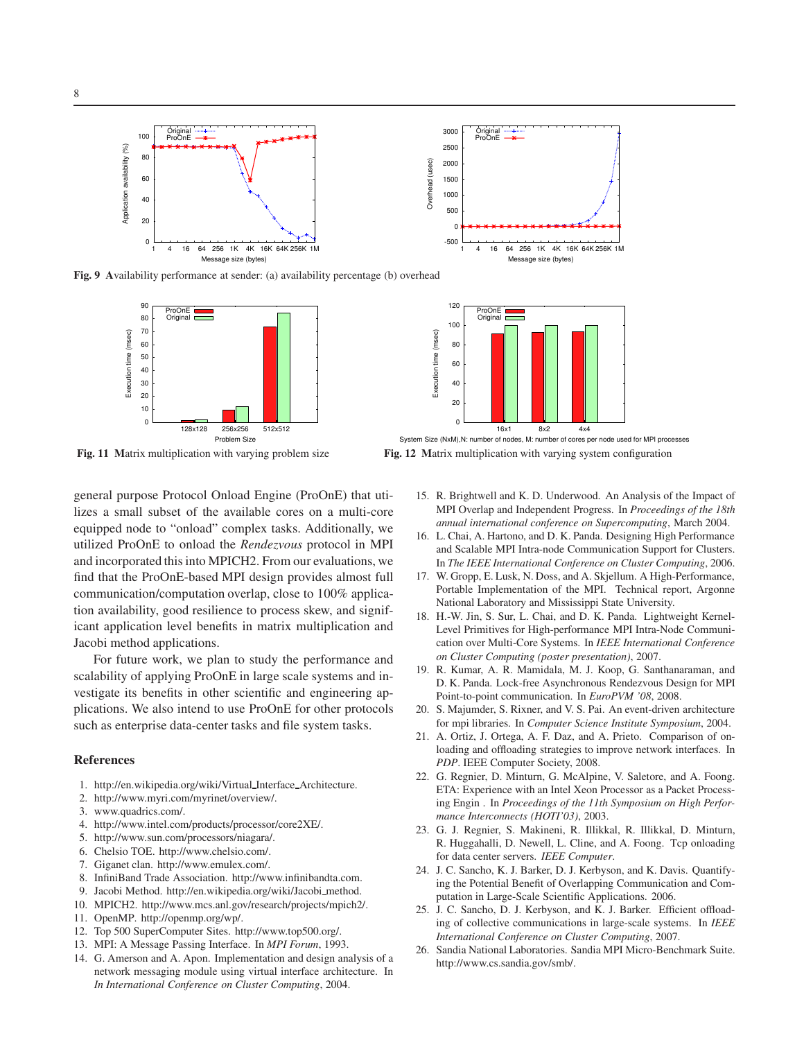



**Fig. 9 A**vailability performance at sender: (a) availability percentage (b) overhead



 120 ProOnE **Original**  100 Execution time (msec) Execution time (msec) 80 60 40 20 0 16x1 8x2 4x4

**Fig. 11 M**atrix multiplication with varying problem size



general purpose Protocol Onload Engine (ProOnE) that utilizes a small subset of the available cores on a multi-core equipped node to "onload" complex tasks. Additionally, we utilized ProOnE to onload the *Rendezvous* protocol in MPI and incorporated this into MPICH2. From our evaluations, we find that the ProOnE-based MPI design provides almost full communication/computation overlap, close to 100% application availability, good resilience to process skew, and significant application level benefits in matrix multiplication and Jacobi method applications.

For future work, we plan to study the performance and scalability of applying ProOnE in large scale systems and investigate its benefits in other scientific and engineering applications. We also intend to use ProOnE for other protocols such as enterprise data-center tasks and file system tasks.

# **References**

- 1. http://en.wikipedia.org/wiki/Virtual Interface Architecture.
- 2. http://www.myri.com/myrinet/overview/.
- 3. www.quadrics.com/.
- 4. http://www.intel.com/products/processor/core2XE/.
- 5. http://www.sun.com/processors/niagara/.
- 6. Chelsio TOE. http://www.chelsio.com/.
- 7. Giganet clan. http://www.emulex.com/.
- 8. InfiniBand Trade Association. http://www.infinibandta.com.
- 9. Jacobi Method. http://en.wikipedia.org/wiki/Jacobi method.
- 10. MPICH2. http://www.mcs.anl.gov/research/projects/mpich2/.
- 11. OpenMP. http://openmp.org/wp/.
- 12. Top 500 SuperComputer Sites. http://www.top500.org/.
- 13. MPI: A Message Passing Interface. In *MPI Forum*, 1993.
- 14. G. Amerson and A. Apon. Implementation and design analysis of a network messaging module using virtual interface architecture. In *In International Conference on Cluster Computing*, 2004.
- 15. R. Brightwell and K. D. Underwood. An Analysis of the Impact of MPI Overlap and Independent Progress. In *Proceedings of the 18th annual international conference on Supercomputing*, March 2004.
- 16. L. Chai, A. Hartono, and D. K. Panda. Designing High Performance and Scalable MPI Intra-node Communication Support for Clusters. In *The IEEE International Conference on Cluster Computing*, 2006.
- 17. W. Gropp, E. Lusk, N. Doss, and A. Skjellum. A High-Performance, Portable Implementation of the MPI. Technical report, Argonne National Laboratory and Mississippi State University.
- 18. H.-W. Jin, S. Sur, L. Chai, and D. K. Panda. Lightweight Kernel-Level Primitives for High-performance MPI Intra-Node Communication over Multi-Core Systems. In *IEEE International Conference on Cluster Computing (poster presentation)*, 2007.
- 19. R. Kumar, A. R. Mamidala, M. J. Koop, G. Santhanaraman, and D. K. Panda. Lock-free Asynchronous Rendezvous Design for MPI Point-to-point communication. In *EuroPVM '08*, 2008.
- 20. S. Majumder, S. Rixner, and V. S. Pai. An event-driven architecture for mpi libraries. In *Computer Science Institute Symposium*, 2004.
- 21. A. Ortiz, J. Ortega, A. F. Daz, and A. Prieto. Comparison of onloading and offloading strategies to improve network interfaces. In *PDP*. IEEE Computer Society, 2008.
- 22. G. Regnier, D. Minturn, G. McAlpine, V. Saletore, and A. Foong. ETA: Experience with an Intel Xeon Processor as a Packet Processing Engin . In *Proceedings of the 11th Symposium on High Performance Interconnects (HOTI'03)*, 2003.
- 23. G. J. Regnier, S. Makineni, R. Illikkal, R. Illikkal, D. Minturn, R. Huggahalli, D. Newell, L. Cline, and A. Foong. Tcp onloading for data center servers. *IEEE Computer*.
- 24. J. C. Sancho, K. J. Barker, D. J. Kerbyson, and K. Davis. Quantifying the Potential Benefit of Overlapping Communication and Computation in Large-Scale Scientific Applications. 2006.
- 25. J. C. Sancho, D. J. Kerbyson, and K. J. Barker. Efficient offloading of collective communications in large-scale systems. In *IEEE International Conference on Cluster Computing*, 2007.
- 26. Sandia National Laboratories. Sandia MPI Micro-Benchmark Suite. http://www.cs.sandia.gov/smb/.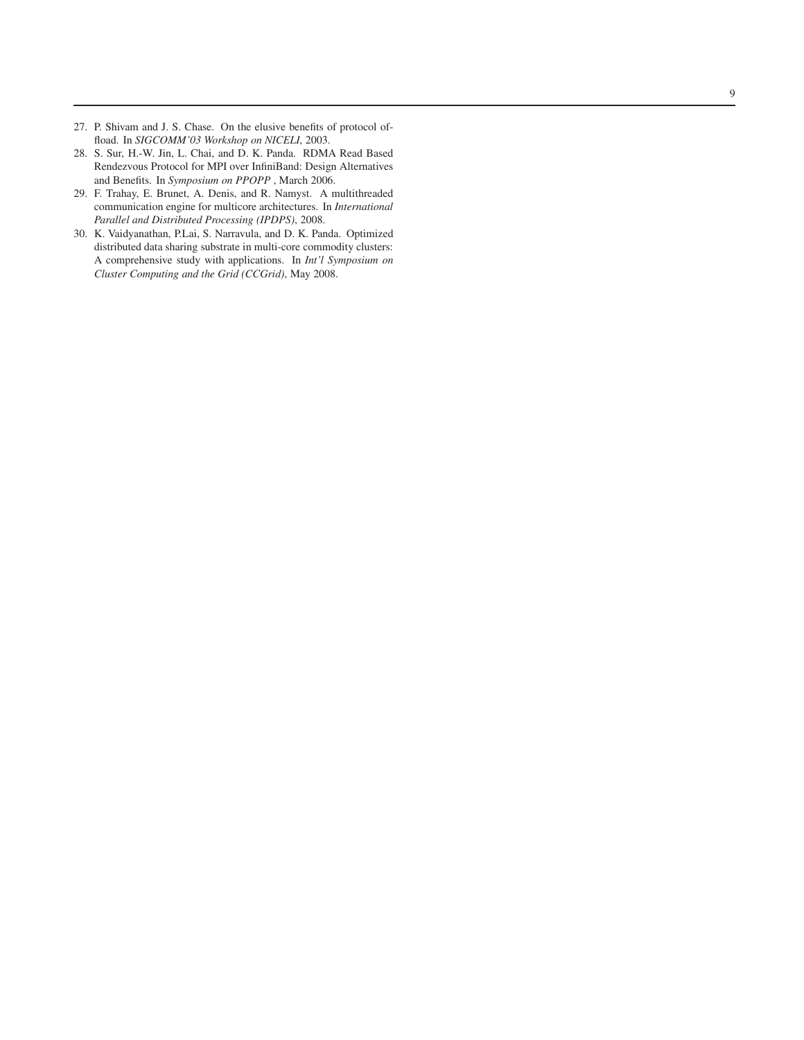- 27. P. Shivam and J. S. Chase. On the elusive benefits of protocol offload. In *SIGCOMM'03 Workshop on NICELI*, 2003.
- 28. S. Sur, H.-W. Jin, L. Chai, and D. K. Panda. RDMA Read Based Rendezvous Protocol for MPI over InfiniBand: Design Alternatives and Benefits. In *Symposium on PPOPP* , March 2006.
- 29. F. Trahay, E. Brunet, A. Denis, and R. Namyst. A multithreaded communication engine for multicore architectures. In *International Parallel and Distributed Processing (IPDPS)*, 2008.
- 30. K. Vaidyanathan, P.Lai, S. Narravula, and D. K. Panda. Optimized distributed data sharing substrate in multi-core commodity clusters: A comprehensive study with applications. In *Int'l Symposium on Cluster Computing and the Grid (CCGrid)*, May 2008.